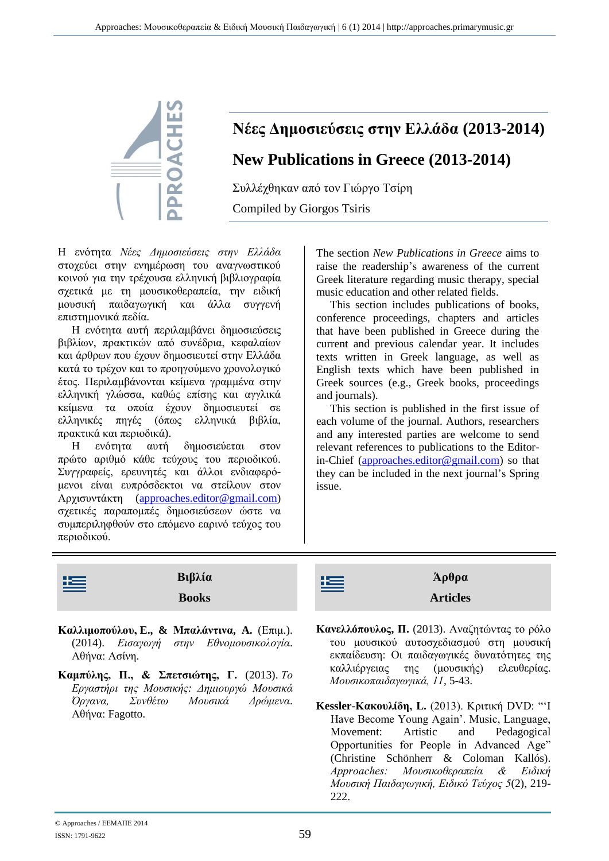

## **Νέες Δημοσιεύσεις στην Ελλάδα (2013-2014) New Publications in Greece (2013-2014)**

Συλλέχθηκαν από τον Γιώργο Τσίρη Compiled by Giorgos Tsiris

Η ενότητα *Νέες Δημοσιεύσεις στην Ελλάδα* στοχεύει στην ενημέρωση του αναγνωστικού κοινού για την τρέχουσα ελληνική βιβλιογραφία σχετικά με τη μουσικοθεραπεία, την ειδική μουσική παιδαγωγική και άλλα συγγενή επιστημονικά πεδία.

Η ενότητα αυτή περιλαμβάνει δημοσιεύσεις βιβλίων, πρακτικών από συνέδρια, κεφαλαίων και άρθρων που έχουν δημοσιευτεί στην Ελλάδα κατά το τρέχον και το προηγούμενο χρονολογικό έτος. Περιλαμβάνονται κείμενα γραμμένα στην ελληνική γλώσσα, καθώς επίσης και αγγλικά κείμενα τα οποία έχουν δημοσιευτεί σε ελληνικές πηγές (όπως ελληνικά βιβλία, πρακτικά και περιοδικά).

Η ενότητα αυτή δημοσιεύεται στον πρώτο αριθμό κάθε τεύχους του περιοδικού. Συγγραφείς, ερευνητές και άλλοι ενδιαφερόμενοι είναι ευπρόσδεκτοι να στείλουν στον Αρχισυντάκτη [\(approaches.editor@gmail.com\)](mailto:approaches.editor@gmail.com) σχετικές παραπομπές δημοσιεύσεων ώστε να συμπεριληφθούν στο επόμενο εαρινό τεύχος του περιοδικού.

The section *New Publications in Greece* aims to raise the readership's awareness of the current Greek literature regarding music therapy, special music education and other related fields.

This section includes publications of books, conference proceedings, chapters and articles that have been published in Greece during the current and previous calendar year. It includes texts written in Greek language, as well as English texts which have been published in Greek sources (e.g., Greek books, proceedings and journals).

This section is published in the first issue of each volume of the journal. Authors, researchers and any interested parties are welcome to send relevant references to publications to the Editorin-Chief [\(approaches.editor@gmail.com\)](mailto:approaches.editor@gmail.com) so that they can be included in the next journal's Spring issue.

| 壃 | Βιβλία<br><b>Books</b>                                                                                                                                            | $A\rho\theta\rho\alpha$<br>壃<br><b>Articles</b>                                                                                          |
|---|-------------------------------------------------------------------------------------------------------------------------------------------------------------------|------------------------------------------------------------------------------------------------------------------------------------------|
|   | $V_{\alpha}$ <sup>1</sup> $\ldots$ $\alpha$ $\alpha$ <sup>1</sup> $\ldots$ $\Gamma$ $\ell$ $\ell$ $\ldots$ $\ell$ $\ldots$ $\ldots$ $\ell$ $\ell$ $\ldots$ $\ell$ | $K$ gual $\Lambda_{\pi}$ an $\alpha \in \Pi$ (2012) $\Lambda_{\mu}$ ( $\pi \gamma$ ) $\pi \gamma \gamma$ $\tau \gamma$ $\gamma$ $\gamma$ |

- **Καλλιμοπούλου, E., & Μπαλάντινα, A.** (Επιμ.). (2014). *Εισαγωγή στην Eθνομουσικολογία*. Αθήνα: Ασίνη.
- **Καμπύλης, Π., & Σπετσιώτης, Γ.** (2013). *Το Εργαστήρι της Μουσικής: Δημιουργώ Μουσικά Όργανα, Συνθέτω Μουσικά Δρώμενα*. Αθήνα: Fagotto.
- **Κανελλόπουλος, Π.** (2013). Αναζητώντας το ρόλο του μουσικού αυτοσχεδιασμού στη μουσική εκπαίδευση: Οι παιδαγωγικές δυνατότητες της καλλιέργειας της (μουσικής) ελευθερίας. *Μουσικοπαιδαγωγικά, 11*, 5-43.
- **Kessler-Κακουλίδη, L.** (2013). Kριτική DVD: "'I Have Become Young Again'. Music, Language, Movement: Artistic and Pedagogical Opportunities for People in Advanced Age" (Christine Schönherr & Coloman Kallós). *Approaches: Μουσικοθεραπεία & Ειδική Μουσική Παιδαγωγική, Ειδικό Τεύχος 5*(2), 219- 222.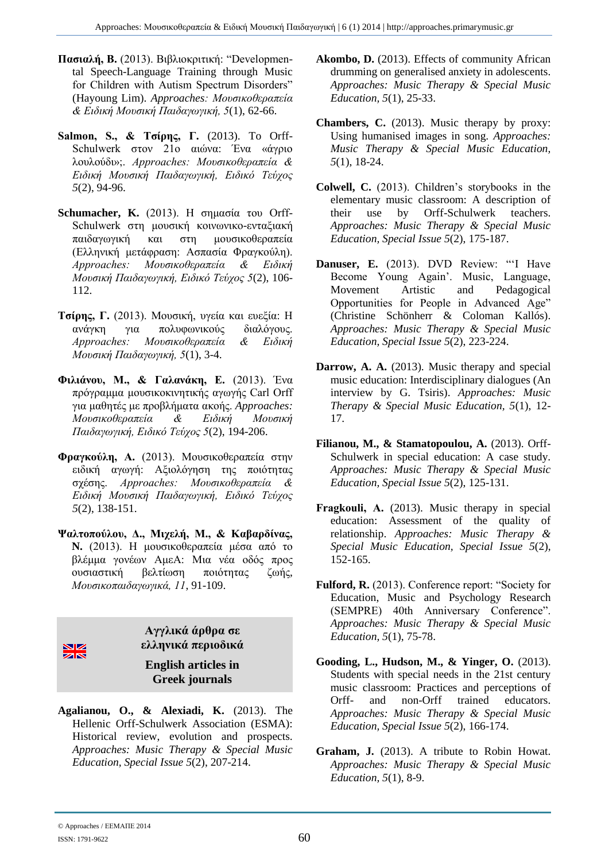- **Πασιαλή, Β.** (2013). Βιβλιοκριτική: "Developmental Speech-Language Training through Music for Children with Autism Spectrum Disorders" (Hayoung Lim). *Approaches: Μουσικοθεραπεία & Ειδική Μουσική Παιδαγωγική, 5*(1), 62-66.
- **Salmon, S., & Τσίρης, Γ.** (2013). To Orff-Schulwerk στον 21ο αιώνα: Ένα «άγριο λουλούδι»;. *Approaches: Μουσικοθεραπεία & Ειδική Μουσική Παιδαγωγική, Ειδικό Τεύχος 5*(2), 94-96.
- **Schumacher, K.** (2013). Η σημασία του Orff-Schulwerk στη μουσική κοινωνικο-ενταξιακή παιδαγωγική και στη μουσικοθεραπεία (Ελληνική μετάφραση: Ασπασία Φραγκούλη). *Approaches: Μουσικοθεραπεία & Ειδική Μουσική Παιδαγωγική, Ειδικό Τεύχος 5*(2), 106- 112.
- **Τσίρης, Γ.** (2013). Μουσική, υγεία και ευεξία: Η ανάγκη για πολυφωνικούς διαλόγους. *Approaches: Μουσικοθεραπεία & Ειδική Μουσική Παιδαγωγική, 5*(1), 3-4.
- **Φιλιάνου, Μ., & Γαλανάκη, Ε.** (2013). Ένα πρόγραμμα μουσικοκινητικής αγωγής Carl Orff για μαθητές με προβλήματα ακοής. *Approaches: Μουσικοθεραπεία & Ειδική Μουσική Παιδαγωγική, Ειδικό Τεύχος 5*(2), 194-206.
- **Φραγκούλη, Α.** (2013). Μουσικοθεραπεία στην ειδική αγωγή: Αξιολόγηση της ποιότητας σχέσης. *Approaches: Μουσικοθεραπεία & Ειδική Μουσική Παιδαγωγική, Ειδικό Τεύχος 5*(2), 138-151.
- **Ψαλτοπούλου, Δ., Μιχελή, M., & Καβαρδίνας, N.** (2013). Η μουσικοθεραπεία μέσα από το βλέμμα γονέων ΑμεΑ: Μια νέα οδός προς ουσιαστική βελτίωση ποιότητας ζωής, *Μουσικοπαιδαγωγικά, 11*, 91-109.



**Αγγλικά άρθρα σε ελληνικά περιοδικά**

**English articles in Greek journals**

**Agalianou, O., & Alexiadi, K.** (2013). The Hellenic Orff-Schulwerk Association (ESMA): Historical review, evolution and prospects. *Approaches: Music Therapy & Special Music Education, Special Issue 5*(2), 207-214.

- **Akombo, D.** (2013). Effects of community African drumming on generalised anxiety in adolescents. *Approaches: Music Therapy & Special Music Education, 5*(1), 25-33.
- **Chambers, C.** (2013). Music therapy by proxy: Using humanised images in song. *Approaches: Music Therapy & Special Music Education, 5*(1), 18-24.
- **Colwell, C.** (2013). Children's storybooks in the elementary music classroom: A description of their use by Orff-Schulwerk teachers. *Approaches: Music Therapy & Special Music Education, Special Issue 5*(2), 175-187.
- **Danuser, E.** (2013). DVD Review: "'I Have Become Young Again'. Music, Language, Movement Artistic and Pedagogical Opportunities for People in Advanced Age" (Christine Schönherr & Coloman Kallós). *Approaches: Music Therapy & Special Music Education, Special Issue 5*(2), 223-224.
- **Darrow, A. A.** (2013). Music therapy and special music education: Interdisciplinary dialogues (An interview by G. Tsiris). *Approaches: Music Therapy & Special Music Education, 5*(1), 12- 17.
- **Filianou, M., & Stamatopoulou, A.** (2013). Orff-Schulwerk in special education: A case study. *Approaches: Music Therapy & Special Music Education, Special Issue 5*(2), 125-131.
- **Fragkouli, Α.** (2013). Music therapy in special education: Assessment of the quality of relationship. *Approaches: Music Therapy & Special Music Education, Special Issue 5*(2), 152-165.
- **Fulford, R.** (2013). Conference report: "Society for Education, Music and Psychology Research (SEMPRE) 40th Anniversary Conference". *Approaches: Music Therapy & Special Music Education, 5*(1), 75-78.
- **Gooding, L., Hudson, M., & Yinger, O.** (2013). Students with special needs in the 21st century music classroom: Practices and perceptions of Orff- and non-Orff trained educators. *Approaches: Music Therapy & Special Music Education, Special Issue 5*(2), 166-174.
- **Graham, J.** (2013). A tribute to Robin Howat. *Approaches: Music Therapy & Special Music Education, 5*(1), 8-9.